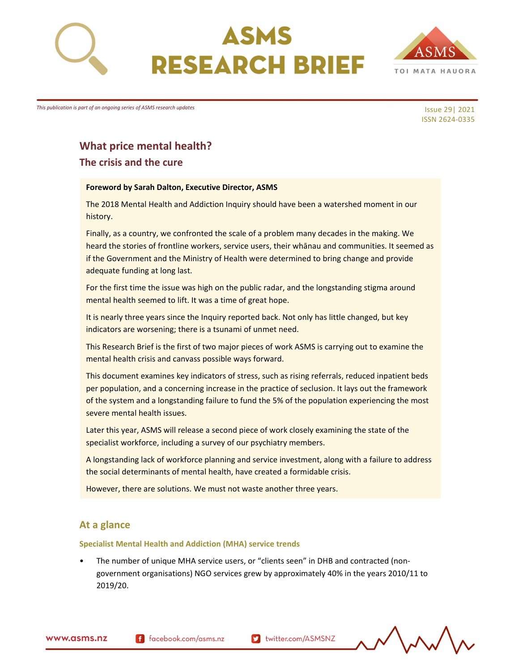





*This publication is part of an ongoing series of ASMS research updates*

Issue 29| 2021 ISSN 2624‐0335

# **What price mental health?**

**The crisis and the cure**

#### **Foreword by Sarah Dalton, Executive Director, ASMS**

The 2018 Mental Health and Addiction Inquiry should have been a watershed moment in our history.

Finally, as a country, we confronted the scale of a problem many decades in the making. We heard the stories of frontline workers, service users, their whānau and communities. It seemed as if the Government and the Ministry of Health were determined to bring change and provide adequate funding at long last.

For the first time the issue was high on the public radar, and the longstanding stigma around mental health seemed to lift. It was a time of great hope.

It is nearly three years since the Inquiry reported back. Not only has little changed, but key indicators are worsening; there is a tsunami of unmet need.

This Research Brief is the first of two major pieces of work ASMS is carrying out to examine the mental health crisis and canvass possible ways forward.

This document examines key indicators of stress, such as rising referrals, reduced inpatient beds per population, and a concerning increase in the practice of seclusion. It lays out the framework of the system and a longstanding failure to fund the 5% of the population experiencing the most severe mental health issues.

Later this year, ASMS will release a second piece of work closely examining the state of the specialist workforce, including a survey of our psychiatry members.

A longstanding lack of workforce planning and service investment, along with a failure to address the social determinants of mental health, have created a formidable crisis.

However, there are solutions. We must not waste another three years.

## **At a glance**

#### **Specialist Mental Health and Addiction (MHA) service trends**

The number of unique MHA service users, or "clients seen" in DHB and contracted (nongovernment organisations) NGO services grew by approximately 40% in the years 2010/11 to 2019/20.

www.asms.nz

f facebook.com/asms.nz

Multer.com/ASMSNZ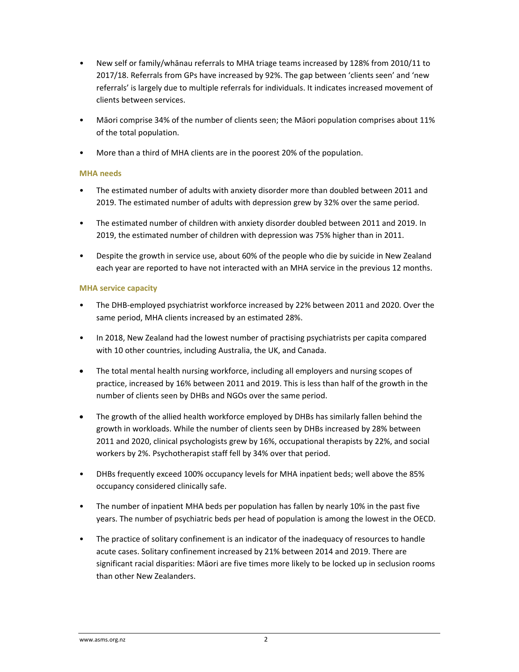- New self or family/whānau referrals to MHA triage teams increased by 128% from 2010/11 to 2017/18. Referrals from GPs have increased by 92%. The gap between 'clients seen' and 'new referrals' is largely due to multiple referrals for individuals. It indicates increased movement of clients between services.
- Māori comprise 34% of the number of clients seen; the Māori population comprises about 11% of the total population.
- More than a third of MHA clients are in the poorest 20% of the population.

### **MHA needs**

- The estimated number of adults with anxiety disorder more than doubled between 2011 and 2019. The estimated number of adults with depression grew by 32% over the same period.
- The estimated number of children with anxiety disorder doubled between 2011 and 2019. In 2019, the estimated number of children with depression was 75% higher than in 2011.
- Despite the growth in service use, about 60% of the people who die by suicide in New Zealand each year are reported to have not interacted with an MHA service in the previous 12 months.

## **MHA service capacity**

- The DHB‐employed psychiatrist workforce increased by 22% between 2011 and 2020. Over the same period, MHA clients increased by an estimated 28%.
- In 2018, New Zealand had the lowest number of practising psychiatrists per capita compared with 10 other countries, including Australia, the UK, and Canada.
- The total mental health nursing workforce, including all employers and nursing scopes of practice, increased by 16% between 2011 and 2019. This is less than half of the growth in the number of clients seen by DHBs and NGOs over the same period.
- The growth of the allied health workforce employed by DHBs has similarly fallen behind the growth in workloads. While the number of clients seen by DHBs increased by 28% between 2011 and 2020, clinical psychologists grew by 16%, occupational therapists by 22%, and social workers by 2%. Psychotherapist staff fell by 34% over that period.
- DHBs frequently exceed 100% occupancy levels for MHA inpatient beds; well above the 85% occupancy considered clinically safe.
- The number of inpatient MHA beds per population has fallen by nearly 10% in the past five years. The number of psychiatric beds per head of population is among the lowest in the OECD.
- The practice of solitary confinement is an indicator of the inadequacy of resources to handle acute cases. Solitary confinement increased by 21% between 2014 and 2019. There are significant racial disparities: Māori are five times more likely to be locked up in seclusion rooms than other New Zealanders.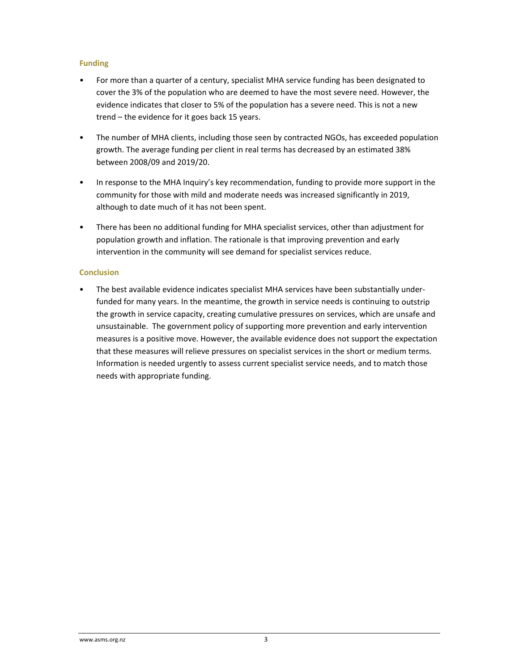## **Funding**

- For more than a quarter of a century, specialist MHA service funding has been designated to cover the 3% of the population who are deemed to have the most severe need. However, the evidence indicates that closer to 5% of the population has a severe need. This is not a new trend – the evidence for it goes back 15 years.
- The number of MHA clients, including those seen by contracted NGOs, has exceeded population growth. The average funding per client in real terms has decreased by an estimated 38% between 2008/09 and 2019/20.
- In response to the MHA Inquiry's key recommendation, funding to provide more support in the community for those with mild and moderate needs was increased significantly in 2019, although to date much of it has not been spent.
- There has been no additional funding for MHA specialist services, other than adjustment for population growth and inflation. The rationale is that improving prevention and early intervention in the community will see demand for specialist services reduce.

## **Conclusion**

The best available evidence indicates specialist MHA services have been substantially underfunded for many years. In the meantime, the growth in service needs is continuing to outstrip the growth in service capacity, creating cumulative pressures on services, which are unsafe and unsustainable. The government policy of supporting more prevention and early intervention measures is a positive move. However, the available evidence does not support the expectation that these measures will relieve pressures on specialist services in the short or medium terms. Information is needed urgently to assess current specialist service needs, and to match those needs with appropriate funding.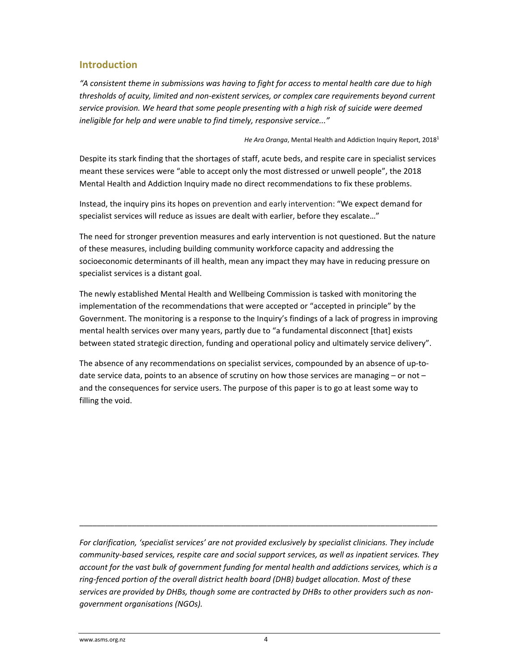# **Introduction**

"A consistent theme in submissions was having to fight for access to mental health care due to high *thresholds of acuity, limited and non‐existent services, or complex care requirements beyond current service provision. We heard that some people presenting with a high risk of suicide were deemed ineligible for help and were unable to find timely, responsive service..."*

*He Ara Oranga*, Mental Health and Addiction Inquiry Report, 20181

Despite its stark finding that the shortages of staff, acute beds, and respite care in specialist services meant these services were "able to accept only the most distressed or unwell people", the 2018 Mental Health and Addiction Inquiry made no direct recommendations to fix these problems.

Instead, the inquiry pins its hopes on prevention and early intervention: "We expect demand for specialist services will reduce as issues are dealt with earlier, before they escalate…"

The need for stronger prevention measures and early intervention is not questioned. But the nature of these measures, including building community workforce capacity and addressing the socioeconomic determinants of ill health, mean any impact they may have in reducing pressure on specialist services is a distant goal.

The newly established Mental Health and Wellbeing Commission is tasked with monitoring the implementation of the recommendations that were accepted or "accepted in principle" by the Government. The monitoring is a response to the Inquiry's findings of a lack of progress in improving mental health services over many years, partly due to "a fundamental disconnect [that] exists between stated strategic direction, funding and operational policy and ultimately service delivery".

The absence of any recommendations on specialist services, compounded by an absence of up-todate service data, points to an absence of scrutiny on how those services are managing – or not – and the consequences for service users. The purpose of this paper is to go at least some way to filling the void.

*For clarification, 'specialist services' are not provided exclusively by specialist clinicians. They include community‐based services, respite care and social support services, as well as inpatient services. They account for the vast bulk of government funding for mental health and addictions services, which is a ring‐fenced portion of the overall district health board (DHB) budget allocation. Most of these services are provided by DHBs, though some are contracted by DHBs to other providers such as non‐ government organisations (NGOs).*

\_\_\_\_\_\_\_\_\_\_\_\_\_\_\_\_\_\_\_\_\_\_\_\_\_\_\_\_\_\_\_\_\_\_\_\_\_\_\_\_\_\_\_\_\_\_\_\_\_\_\_\_\_\_\_\_\_\_\_\_\_\_\_\_\_\_\_\_\_\_\_\_\_\_\_\_\_\_\_\_\_\_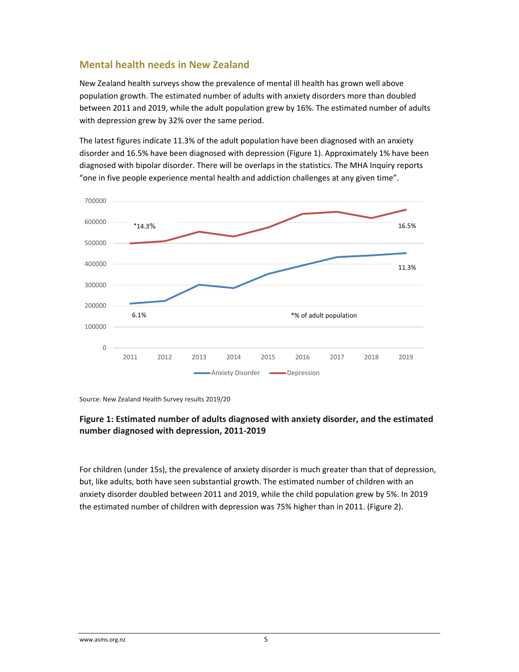# **Mental health needs in New Zealand**

New Zealand health surveys show the prevalence of mental ill health has grown well above population growth. The estimated number of adults with anxiety disorders more than doubled between 2011 and 2019, while the adult population grew by 16%. The estimated number of adults with depression grew by 32% over the same period.

The latest figures indicate 11.3% of the adult population have been diagnosed with an anxiety disorder and 16.5% have been diagnosed with depression (Figure 1). Approximately 1% have been diagnosed with bipolar disorder. There will be overlaps in the statistics. The MHA Inquiry reports "one in five people experience mental health and addiction challenges at any given time".



Source: New Zealand Health Survey results 2019/20

## **Figure 1: Estimated number of adults diagnosed with anxiety disorder, and the estimated number diagnosed with depression, 2011‐2019**

For children (under 15s), the prevalence of anxiety disorder is much greater than that of depression, but, like adults, both have seen substantial growth. The estimated number of children with an anxiety disorder doubled between 2011 and 2019, while the child population grew by 5%. In 2019 the estimated number of children with depression was 75% higher than in 2011. (Figure 2).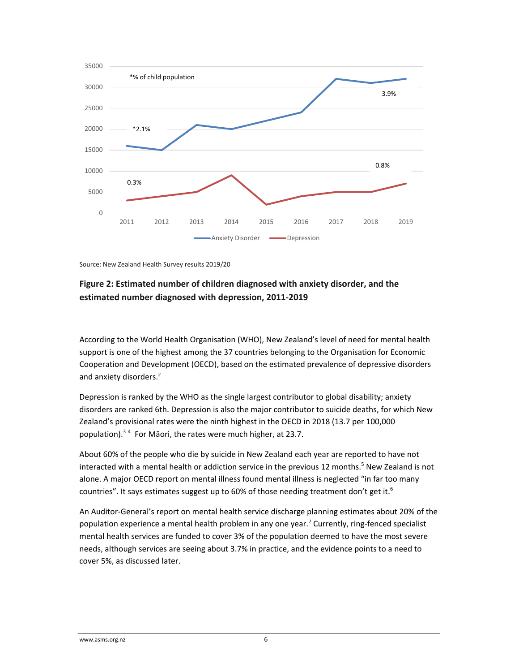

Source: New Zealand Health Survey results 2019/20

## **Figure 2: Estimated number of children diagnosed with anxiety disorder, and the estimated number diagnosed with depression, 2011‐2019**

According to the World Health Organisation (WHO), New Zealand's level of need for mental health support is one of the highest among the 37 countries belonging to the Organisation for Economic Cooperation and Development (OECD), based on the estimated prevalence of depressive disorders and anxiety disorders.<sup>2</sup>

Depression is ranked by the WHO as the single largest contributor to global disability; anxiety disorders are ranked 6th. Depression is also the major contributor to suicide deaths, for which New Zealand's provisional rates were the ninth highest in the OECD in 2018 (13.7 per 100,000 population).<sup>34</sup> For Māori, the rates were much higher, at 23.7.

About 60% of the people who die by suicide in New Zealand each year are reported to have not interacted with a mental health or addiction service in the previous 12 months.<sup>5</sup> New Zealand is not alone. A major OECD report on mental illness found mental illness is neglected "in far too many countries". It says estimates suggest up to 60% of those needing treatment don't get it.<sup>6</sup>

An Auditor‐General's report on mental health service discharge planning estimates about 20% of the population experience a mental health problem in any one year.<sup>7</sup> Currently, ring-fenced specialist mental health services are funded to cover 3% of the population deemed to have the most severe needs, although services are seeing about 3.7% in practice, and the evidence points to a need to cover 5%, as discussed later.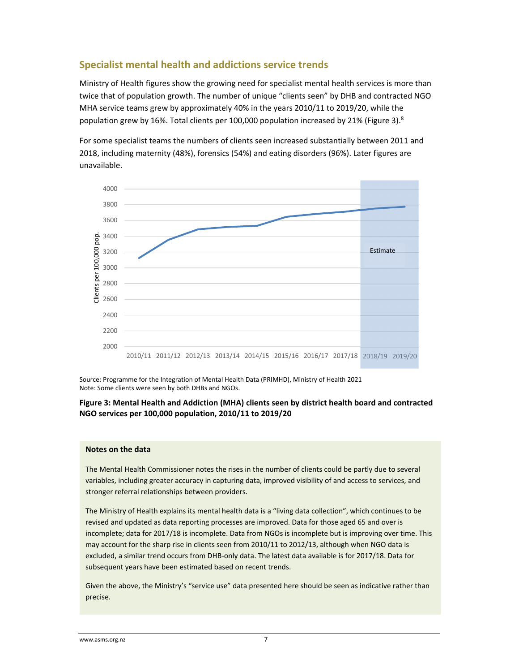# **Specialist mental health and addictions service trends**

Ministry of Health figures show the growing need for specialist mental health services is more than twice that of population growth. The number of unique "clients seen" by DHB and contracted NGO MHA service teams grew by approximately 40% in the years 2010/11 to 2019/20, while the population grew by 16%. Total clients per 100,000 population increased by 21% (Figure 3).<sup>8</sup>

For some specialist teams the numbers of clients seen increased substantially between 2011 and 2018, including maternity (48%), forensics (54%) and eating disorders (96%). Later figures are unavailable.



Source: Programme for the Integration of Mental Health Data (PRIMHD), Ministry of Health 2021 Note: Some clients were seen by both DHBs and NGOs.

### **Figure 3: Mental Health and Addiction (MHA) clients seen by district health board and contracted NGO services per 100,000 population, 2010/11 to 2019/20**

#### **Notes on the data**

The Mental Health Commissioner notes the rises in the number of clients could be partly due to several variables, including greater accuracy in capturing data, improved visibility of and access to services, and stronger referral relationships between providers.

The Ministry of Health explains its mental health data is a "living data collection", which continues to be revised and updated as data reporting processes are improved. Data for those aged 65 and over is incomplete; data for 2017/18 is incomplete. Data from NGOs is incomplete but is improving over time. This may account for the sharp rise in clients seen from 2010/11 to 2012/13, although when NGO data is excluded, a similar trend occurs from DHB‐only data. The latest data available is for 2017/18. Data for subsequent years have been estimated based on recent trends.

Given the above, the Ministry's "service use" data presented here should be seen as indicative rather than precise.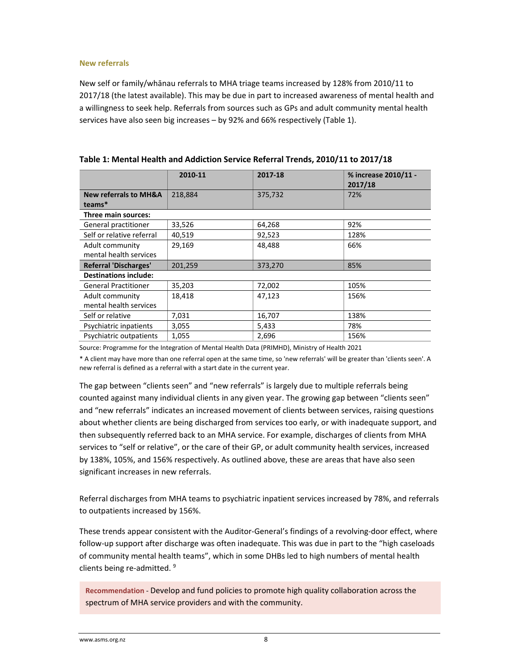#### **New referrals**

New self or family/whānau referrals to MHA triage teams increased by 128% from 2010/11 to 2017/18 (the latest available). This may be due in part to increased awareness of mental health and a willingness to seek help. Referrals from sources such as GPs and adult community mental health services have also seen big increases – by 92% and 66% respectively (Table 1).

|                                            | 2010-11 | 2017-18 | % increase 2010/11 -<br>2017/18 |
|--------------------------------------------|---------|---------|---------------------------------|
| <b>New referrals to MH&amp;A</b><br>teams* | 218,884 | 375,732 | 72%                             |
| Three main sources:                        |         |         |                                 |
| General practitioner                       | 33,526  | 64,268  | 92%                             |
| Self or relative referral                  | 40,519  | 92,523  | 128%                            |
| Adult community<br>mental health services  | 29,169  | 48,488  | 66%                             |
| <b>Referral 'Discharges'</b>               | 201,259 | 373,270 | 85%                             |
| <b>Destinations include:</b>               |         |         |                                 |
| <b>General Practitioner</b>                | 35,203  | 72,002  | 105%                            |
| Adult community                            | 18,418  | 47,123  | 156%                            |
| mental health services                     |         |         |                                 |
| Self or relative                           | 7,031   | 16,707  | 138%                            |
| Psychiatric inpatients                     | 3,055   | 5,433   | 78%                             |
| Psychiatric outpatients                    | 1,055   | 2,696   | 156%                            |

Source: Programme for the Integration of Mental Health Data (PRIMHD), Ministry of Health 2021

\* A client may have more than one referral open at the same time, so 'new referrals' will be greater than 'clients seen'. A new referral is defined as a referral with a start date in the current year.

The gap between "clients seen" and "new referrals" is largely due to multiple referrals being counted against many individual clients in any given year. The growing gap between "clients seen" and "new referrals" indicates an increased movement of clients between services, raising questions about whether clients are being discharged from services too early, or with inadequate support, and then subsequently referred back to an MHA service. For example, discharges of clients from MHA services to "self or relative", or the care of their GP, or adult community health services, increased by 138%, 105%, and 156% respectively. As outlined above, these are areas that have also seen significant increases in new referrals.

Referral discharges from MHA teams to psychiatric inpatient services increased by 78%, and referrals to outpatients increased by 156%.

These trends appear consistent with the Auditor‐General's findings of a revolving‐door effect, where follow‐up support after discharge was often inadequate. This was due in part to the "high caseloads of community mental health teams", which in some DHBs led to high numbers of mental health clients being re-admitted. <sup>9</sup>

**Recommendation** *‐* Develop and fund policies to promote high quality collaboration across the spectrum of MHA service providers and with the community.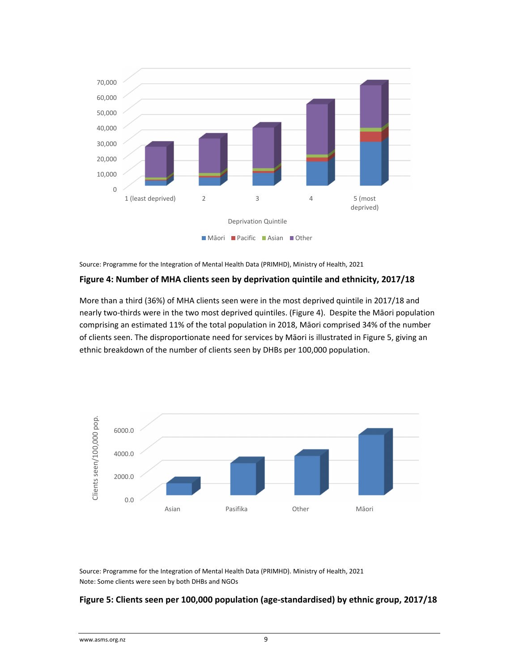

Source: Programme for the Integration of Mental Health Data (PRIMHD), Ministry of Health, 2021

#### **Figure 4: Number of MHA clients seen by deprivation quintile and ethnicity, 2017/18**

More than a third (36%) of MHA clients seen were in the most deprived quintile in 2017/18 and nearly two‐thirds were in the two most deprived quintiles. (Figure 4). Despite the Māori population comprising an estimated 11% of the total population in 2018, Māori comprised 34% of the number of clients seen. The disproportionate need for services by Māori is illustrated in Figure 5, giving an ethnic breakdown of the number of clients seen by DHBs per 100,000 population.



Source: Programme for the Integration of Mental Health Data (PRIMHD). Ministry of Health, 2021 Note: Some clients were seen by both DHBs and NGOs

#### **Figure 5: Clients seen per 100,000 population (age‐standardised) by ethnic group, 2017/18**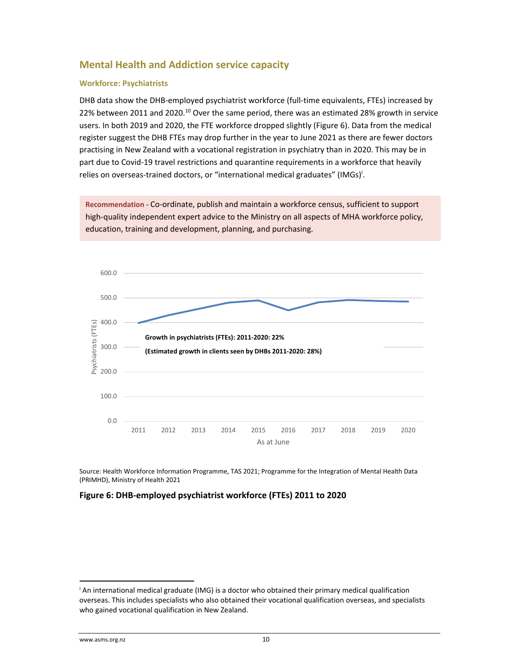# **Mental Health and Addiction service capacity**

### **Workforce: Psychiatrists**

DHB data show the DHB-employed psychiatrist workforce (full-time equivalents, FTEs) increased by 22% between 2011 and 2020.<sup>10</sup> Over the same period, there was an estimated 28% growth in service users. In both 2019 and 2020, the FTE workforce dropped slightly (Figure 6). Data from the medical register suggest the DHB FTEs may drop further in the year to June 2021 as there are fewer doctors practising in New Zealand with a vocational registration in psychiatry than in 2020. This may be in part due to Covid-19 travel restrictions and quarantine requirements in a workforce that heavily relies on overseas-trained doctors, or "international medical graduates" (IMGs)<sup>i</sup>.

**Recommendation** *‐* Co‐ordinate, publish and maintain a workforce census, sufficient to support high-quality independent expert advice to the Ministry on all aspects of MHA workforce policy, education, training and development, planning, and purchasing.



Source: Health Workforce Information Programme, TAS 2021; Programme for the Integration of Mental Health Data (PRIMHD), Ministry of Health 2021

## **Figure 6: DHB‐employed psychiatrist workforce (FTEs) 2011 to 2020**

<sup>i</sup> An international medical graduate (IMG) is a doctor who obtained their primary medical qualification overseas. This includes specialists who also obtained their vocational qualification overseas, and specialists who gained vocational qualification in New Zealand.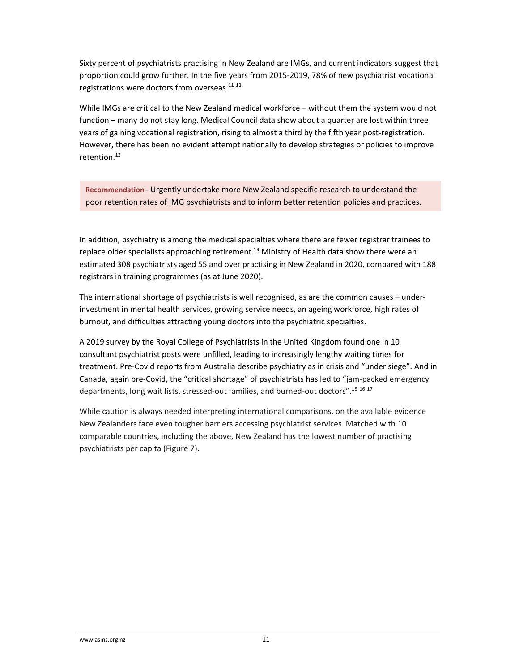Sixty percent of psychiatrists practising in New Zealand are IMGs, and current indicators suggest that proportion could grow further. In the five years from 2015‐2019, 78% of new psychiatrist vocational registrations were doctors from overseas.<sup>11 12</sup>

While IMGs are critical to the New Zealand medical workforce – without them the system would not function – many do not stay long. Medical Council data show about a quarter are lost within three years of gaining vocational registration, rising to almost a third by the fifth year post-registration. However, there has been no evident attempt nationally to develop strategies or policies to improve retention.<sup>13</sup>

**Recommendation** *‐* Urgently undertake more New Zealand specific research to understand the poor retention rates of IMG psychiatrists and to inform better retention policies and practices.

In addition, psychiatry is among the medical specialties where there are fewer registrar trainees to replace older specialists approaching retirement.<sup>14</sup> Ministry of Health data show there were an estimated 308 psychiatrists aged 55 and over practising in New Zealand in 2020, compared with 188 registrars in training programmes (as at June 2020).

The international shortage of psychiatrists is well recognised, as are the common causes – under‐ investment in mental health services, growing service needs, an ageing workforce, high rates of burnout, and difficulties attracting young doctors into the psychiatric specialties.

A 2019 survey by the Royal College of Psychiatrists in the United Kingdom found one in 10 consultant psychiatrist posts were unfilled, leading to increasingly lengthy waiting times for treatment. Pre‐Covid reports from Australia describe psychiatry as in crisis and "under siege". And in Canada, again pre‐Covid, the "critical shortage" of psychiatrists has led to "jam‐packed emergency departments, long wait lists, stressed-out families, and burned-out doctors".<sup>15 16 17</sup>

While caution is always needed interpreting international comparisons, on the available evidence New Zealanders face even tougher barriers accessing psychiatrist services. Matched with 10 comparable countries, including the above, New Zealand has the lowest number of practising psychiatrists per capita (Figure 7).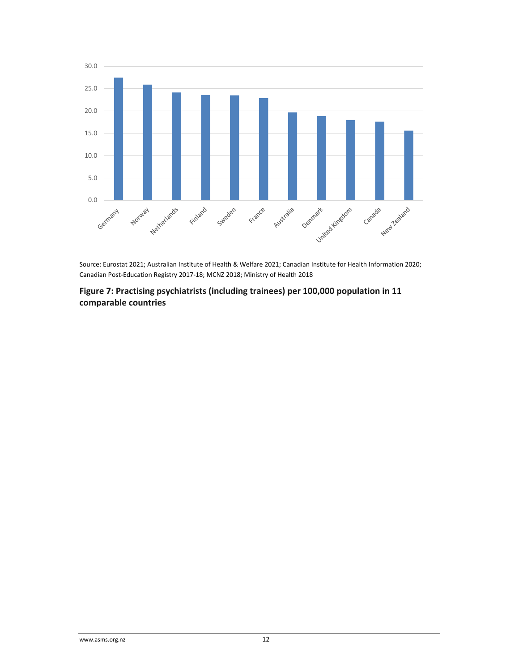

Source: Eurostat 2021; Australian Institute of Health & Welfare 2021; Canadian Institute for Health Information 2020; Canadian Post‐Education Registry 2017‐18; MCNZ 2018; Ministry of Health 2018

**Figure 7: Practising psychiatrists (including trainees) per 100,000 population in 11 comparable countries**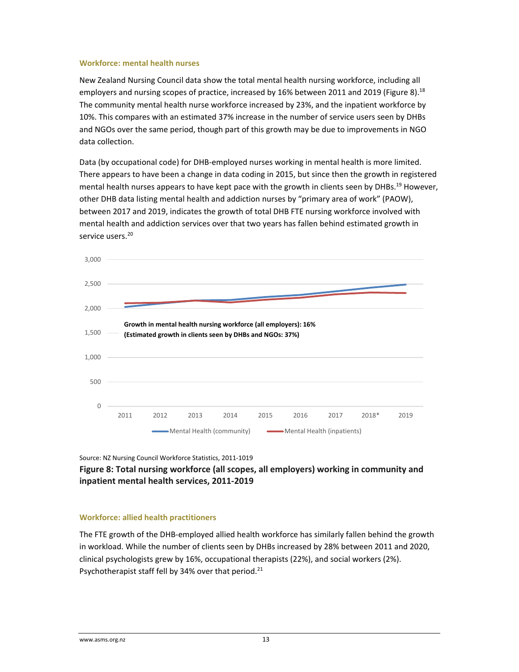#### **Workforce: mental health nurses**

New Zealand Nursing Council data show the total mental health nursing workforce, including all employers and nursing scopes of practice, increased by 16% between 2011 and 2019 (Figure 8).<sup>18</sup> The community mental health nurse workforce increased by 23%, and the inpatient workforce by 10%. This compares with an estimated 37% increase in the number of service users seen by DHBs and NGOs over the same period, though part of this growth may be due to improvements in NGO data collection.

Data (by occupational code) for DHB‐employed nurses working in mental health is more limited. There appears to have been a change in data coding in 2015, but since then the growth in registered mental health nurses appears to have kept pace with the growth in clients seen by DHBs.<sup>19</sup> However, other DHB data listing mental health and addiction nurses by "primary area of work" (PAOW), between 2017 and 2019, indicates the growth of total DHB FTE nursing workforce involved with mental health and addiction services over that two years has fallen behind estimated growth in service users<sup>20</sup>



Source: NZ Nursing Council Workforce Statistics, 2011‐1019

**Figure 8: Total nursing workforce (all scopes, all employers) working in community and inpatient mental health services, 2011‐2019**

#### **Workforce: allied health practitioners**

The FTE growth of the DHB‐employed allied health workforce has similarly fallen behind the growth in workload. While the number of clients seen by DHBs increased by 28% between 2011 and 2020, clinical psychologists grew by 16%, occupational therapists (22%), and social workers (2%). Psychotherapist staff fell by 34% over that period.<sup>21</sup>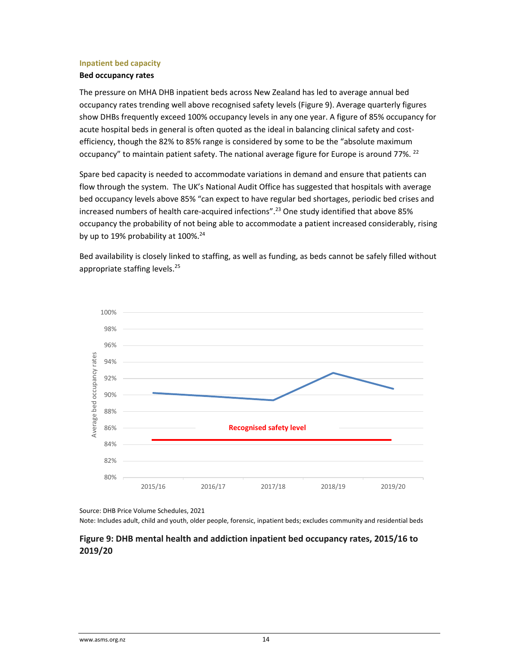#### **Inpatient bed capacity**

### **Bed occupancy rates**

The pressure on MHA DHB inpatient beds across New Zealand has led to average annual bed occupancy rates trending well above recognised safety levels (Figure 9). Average quarterly figures show DHBs frequently exceed 100% occupancy levels in any one year. A figure of 85% occupancy for acute hospital beds in general is often quoted as the ideal in balancing clinical safety and costefficiency, though the 82% to 85% range is considered by some to be the "absolute maximum occupancy" to maintain patient safety. The national average figure for Europe is around 77%. <sup>22</sup>

Spare bed capacity is needed to accommodate variations in demand and ensure that patients can flow through the system. The UK's National Audit Office has suggested that hospitals with average bed occupancy levels above 85% "can expect to have regular bed shortages, periodic bed crises and increased numbers of health care-acquired infections".<sup>23</sup> One study identified that above 85% occupancy the probability of not being able to accommodate a patient increased considerably, rising by up to 19% probability at  $100\%$ .<sup>24</sup>

Bed availability is closely linked to staffing, as well as funding, as beds cannot be safely filled without appropriate staffing levels.<sup>25</sup>



Source: DHB Price Volume Schedules, 2021

Note: Includes adult, child and youth, older people, forensic, inpatient beds; excludes community and residential beds

## **Figure 9: DHB mental health and addiction inpatient bed occupancy rates, 2015/16 to 2019/20**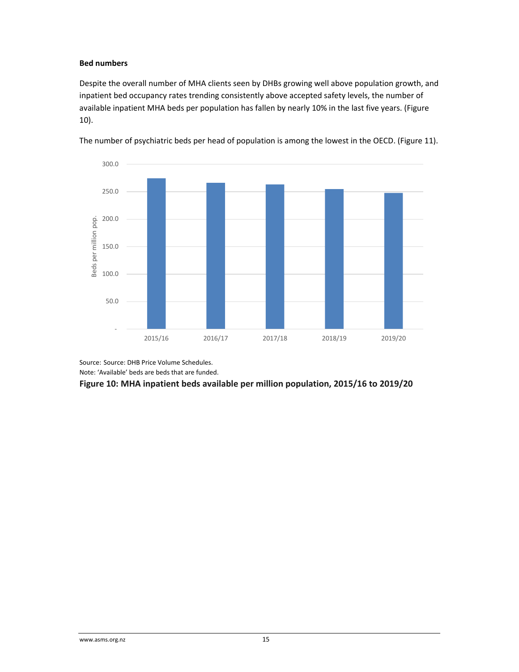## **Bed numbers**

Despite the overall number of MHA clients seen by DHBs growing well above population growth, and inpatient bed occupancy rates trending consistently above accepted safety levels, the number of available inpatient MHA beds per population has fallen by nearly 10% in the last five years. (Figure 10).



The number of psychiatric beds per head of population is among the lowest in the OECD. (Figure 11).

Source: Source: DHB Price Volume Schedules.

Note: 'Available' beds are beds that are funded.

#### **Figure 10: MHA inpatient beds available per million population, 2015/16 to 2019/20**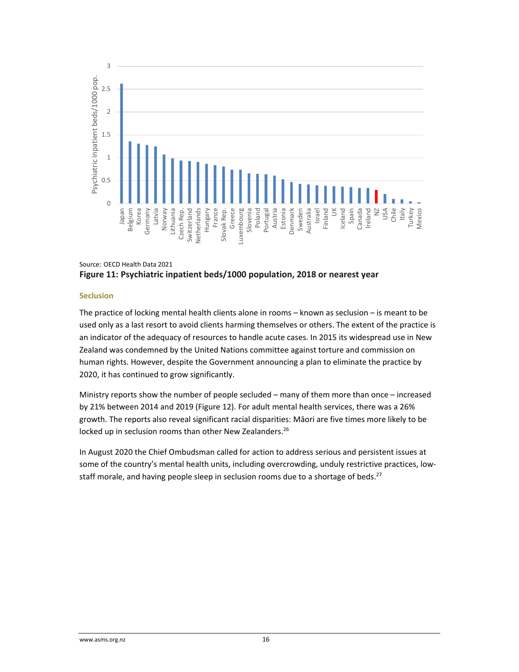

## Source: OECD Health Data 2021 **Figure 11: Psychiatric inpatient beds/1000 population, 2018 or nearest year**

#### **Seclusion**

The practice of locking mental health clients alone in rooms – known as seclusion – is meant to be used only as a last resort to avoid clients harming themselves or others. The extent of the practice is an indicator of the adequacy of resources to handle acute cases. In 2015 its widespread use in New Zealand was condemned by the United Nations committee against torture and commission on human rights. However, despite the Government announcing a plan to eliminate the practice by 2020, it has continued to grow significantly.

Ministry reports show the number of people secluded – many of them more than once – increased by 21% between 2014 and 2019 (Figure 12). For adult mental health services, there was a 26% growth. The reports also reveal significant racial disparities: Māori are five times more likely to be locked up in seclusion rooms than other New Zealanders.<sup>26</sup>

In August 2020 the Chief Ombudsman called for action to address serious and persistent issues at some of the country's mental health units, including overcrowding, unduly restrictive practices, lowstaff morale, and having people sleep in seclusion rooms due to a shortage of beds.<sup>27</sup>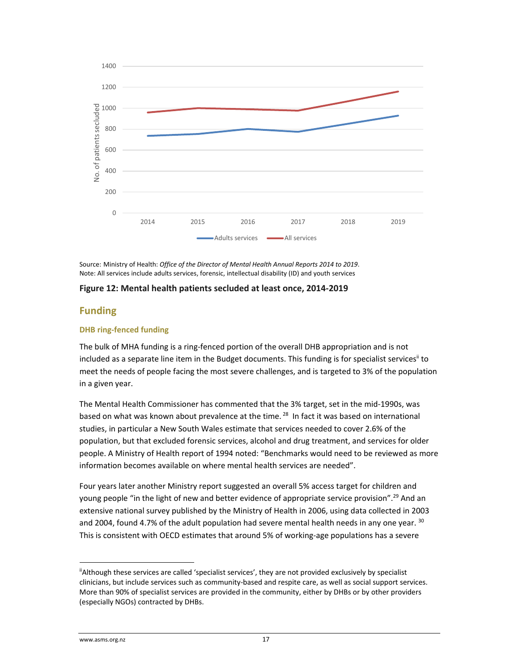

Source: Ministry of Health: *Office of the Director of Mental Health Annual Reports 2014 to 2019*. Note: All services include adults services, forensic, intellectual disability (ID) and youth services

#### **Figure 12: Mental health patients secluded at least once, 2014‐2019**

## **Funding**

### **DHB ring‐fenced funding**

The bulk of MHA funding is a ring‐fenced portion of the overall DHB appropriation and is not included as a separate line item in the Budget documents. This funding is for specialist services" to meet the needs of people facing the most severe challenges, and is targeted to 3% of the population in a given year.

The Mental Health Commissioner has commented that the 3% target, set in the mid‐1990s, was based on what was known about prevalence at the time.<sup>28</sup> In fact it was based on international studies, in particular a New South Wales estimate that services needed to cover 2.6% of the population, but that excluded forensic services, alcohol and drug treatment, and services for older people. A Ministry of Health report of 1994 noted: "Benchmarks would need to be reviewed as more information becomes available on where mental health services are needed".

Four years later another Ministry report suggested an overall 5% access target for children and young people "in the light of new and better evidence of appropriate service provision".<sup>29</sup> And an extensive national survey published by the Ministry of Health in 2006, using data collected in 2003 and 2004, found 4.7% of the adult population had severe mental health needs in any one year.  $30$ This is consistent with OECD estimates that around 5% of working‐age populations has a severe

<sup>&</sup>lt;sup>ii</sup>Although these services are called 'specialist services', they are not provided exclusively by specialist clinicians, but include services such as community‐based and respite care, as well as social support services. More than 90% of specialist services are provided in the community, either by DHBs or by other providers (especially NGOs) contracted by DHBs.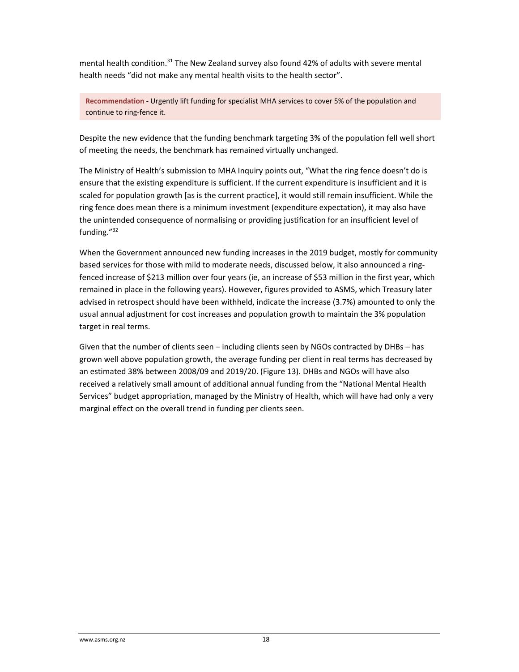mental health condition.<sup>31</sup> The New Zealand survey also found 42% of adults with severe mental health needs "did not make any mental health visits to the health sector".

**Recommendation** *‐* Urgently lift funding for specialist MHA services to cover 5% of the population and continue to ring‐fence it.

Despite the new evidence that the funding benchmark targeting 3% of the population fell well short of meeting the needs, the benchmark has remained virtually unchanged.

The Ministry of Health's submission to MHA Inquiry points out, "What the ring fence doesn't do is ensure that the existing expenditure is sufficient. If the current expenditure is insufficient and it is scaled for population growth [as is the current practice], it would still remain insufficient. While the ring fence does mean there is a minimum investment (expenditure expectation), it may also have the unintended consequence of normalising or providing justification for an insufficient level of funding."32

When the Government announced new funding increases in the 2019 budget, mostly for community based services for those with mild to moderate needs, discussed below, it also announced a ring‐ fenced increase of \$213 million over four years (ie, an increase of \$53 million in the first year, which remained in place in the following years). However, figures provided to ASMS, which Treasury later advised in retrospect should have been withheld, indicate the increase (3.7%) amounted to only the usual annual adjustment for cost increases and population growth to maintain the 3% population target in real terms.

Given that the number of clients seen – including clients seen by NGOs contracted by DHBs – has grown well above population growth, the average funding per client in real terms has decreased by an estimated 38% between 2008/09 and 2019/20. (Figure 13). DHBs and NGOs will have also received a relatively small amount of additional annual funding from the "National Mental Health Services" budget appropriation, managed by the Ministry of Health, which will have had only a very marginal effect on the overall trend in funding per clients seen.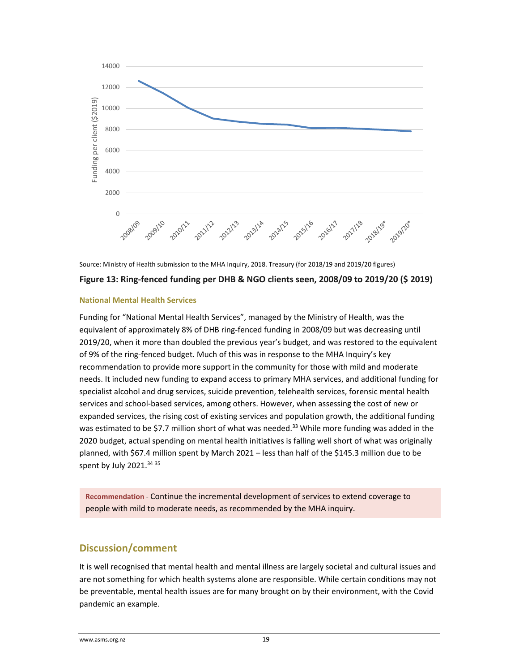



#### **National Mental Health Services**

Funding for "National Mental Health Services", managed by the Ministry of Health, was the equivalent of approximately 8% of DHB ring‐fenced funding in 2008/09 but was decreasing until 2019/20, when it more than doubled the previous year's budget, and was restored to the equivalent of 9% of the ring‐fenced budget. Much of this was in response to the MHA Inquiry's key recommendation to provide more support in the community for those with mild and moderate needs. It included new funding to expand access to primary MHA services, and additional funding for specialist alcohol and drug services, suicide prevention, telehealth services, forensic mental health services and school‐based services, among others. However, when assessing the cost of new or expanded services, the rising cost of existing services and population growth, the additional funding was estimated to be \$7.7 million short of what was needed.<sup>33</sup> While more funding was added in the 2020 budget, actual spending on mental health initiatives is falling well short of what was originally planned, with \$67.4 million spent by March 2021 – less than half of the \$145.3 million due to be spent by July 2021.<sup>34 35</sup>

**Recommendation** *‐* Continue the incremental development of services to extend coverage to people with mild to moderate needs, as recommended by the MHA inquiry.

## **Discussion/comment**

It is well recognised that mental health and mental illness are largely societal and cultural issues and are not something for which health systems alone are responsible. While certain conditions may not be preventable, mental health issues are for many brought on by their environment, with the Covid pandemic an example.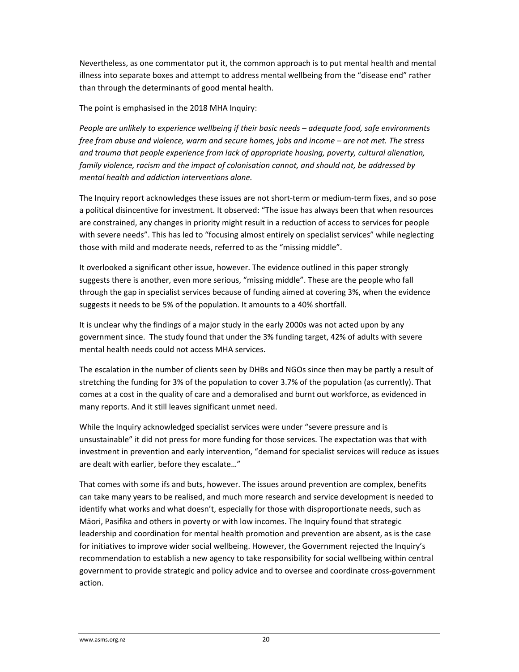Nevertheless, as one commentator put it, the common approach is to put mental health and mental illness into separate boxes and attempt to address mental wellbeing from the "disease end" rather than through the determinants of good mental health.

The point is emphasised in the 2018 MHA Inquiry:

*People are unlikely to experience wellbeing if their basic needs – adequate food, safe environments free from abuse and violence, warm and secure homes, jobs and income – are not met. The stress and trauma that people experience from lack of appropriate housing, poverty, cultural alienation, family violence, racism and the impact of colonisation cannot, and should not, be addressed by mental health and addiction interventions alone.*

The Inquiry report acknowledges these issues are not short‐term or medium‐term fixes, and so pose a political disincentive for investment. It observed: "The issue has always been that when resources are constrained, any changes in priority might result in a reduction of access to services for people with severe needs". This has led to "focusing almost entirely on specialist services" while neglecting those with mild and moderate needs, referred to as the "missing middle".

It overlooked a significant other issue, however. The evidence outlined in this paper strongly suggests there is another, even more serious, "missing middle". These are the people who fall through the gap in specialist services because of funding aimed at covering 3%, when the evidence suggests it needs to be 5% of the population. It amounts to a 40% shortfall.

It is unclear why the findings of a major study in the early 2000s was not acted upon by any government since. The study found that under the 3% funding target, 42% of adults with severe mental health needs could not access MHA services.

The escalation in the number of clients seen by DHBs and NGOs since then may be partly a result of stretching the funding for 3% of the population to cover 3.7% of the population (as currently). That comes at a cost in the quality of care and a demoralised and burnt out workforce, as evidenced in many reports. And it still leaves significant unmet need.

While the Inquiry acknowledged specialist services were under "severe pressure and is unsustainable" it did not press for more funding for those services. The expectation was that with investment in prevention and early intervention, "demand for specialist services will reduce as issues are dealt with earlier, before they escalate…"

That comes with some ifs and buts, however. The issues around prevention are complex, benefits can take many years to be realised, and much more research and service development is needed to identify what works and what doesn't, especially for those with disproportionate needs, such as Māori, Pasifika and others in poverty or with low incomes. The Inquiry found that strategic leadership and coordination for mental health promotion and prevention are absent, as is the case for initiatives to improve wider social wellbeing. However, the Government rejected the Inquiry's recommendation to establish a new agency to take responsibility for social wellbeing within central government to provide strategic and policy advice and to oversee and coordinate cross‐government action.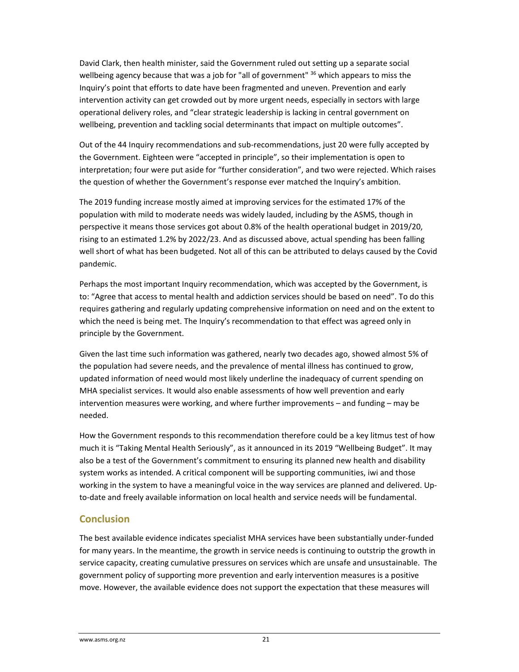David Clark, then health minister, said the Government ruled out setting up a separate social wellbeing agency because that was a job for "all of government" <sup>36</sup> which appears to miss the Inquiry's point that efforts to date have been fragmented and uneven. Prevention and early intervention activity can get crowded out by more urgent needs, especially in sectors with large operational delivery roles, and "clear strategic leadership is lacking in central government on wellbeing, prevention and tackling social determinants that impact on multiple outcomes".

Out of the 44 Inquiry recommendations and sub‐recommendations, just 20 were fully accepted by the Government. Eighteen were "accepted in principle", so their implementation is open to interpretation; four were put aside for "further consideration", and two were rejected. Which raises the question of whether the Government's response ever matched the Inquiry's ambition.

The 2019 funding increase mostly aimed at improving services for the estimated 17% of the population with mild to moderate needs was widely lauded, including by the ASMS, though in perspective it means those services got about 0.8% of the health operational budget in 2019/20, rising to an estimated 1.2% by 2022/23. And as discussed above, actual spending has been falling well short of what has been budgeted. Not all of this can be attributed to delays caused by the Covid pandemic.

Perhaps the most important Inquiry recommendation, which was accepted by the Government, is to: "Agree that access to mental health and addiction services should be based on need". To do this requires gathering and regularly updating comprehensive information on need and on the extent to which the need is being met. The Inquiry's recommendation to that effect was agreed only in principle by the Government.

Given the last time such information was gathered, nearly two decades ago, showed almost 5% of the population had severe needs, and the prevalence of mental illness has continued to grow, updated information of need would most likely underline the inadequacy of current spending on MHA specialist services. It would also enable assessments of how well prevention and early intervention measures were working, and where further improvements – and funding – may be needed.

How the Government responds to this recommendation therefore could be a key litmus test of how much it is "Taking Mental Health Seriously", as it announced in its 2019 "Wellbeing Budget". It may also be a test of the Government's commitment to ensuring its planned new health and disability system works as intended. A critical component will be supporting communities, iwi and those working in the system to have a meaningful voice in the way services are planned and delivered. Up‐ to-date and freely available information on local health and service needs will be fundamental.

# **Conclusion**

The best available evidence indicates specialist MHA services have been substantially under‐funded for many years. In the meantime, the growth in service needs is continuing to outstrip the growth in service capacity, creating cumulative pressures on services which are unsafe and unsustainable. The government policy of supporting more prevention and early intervention measures is a positive move. However, the available evidence does not support the expectation that these measures will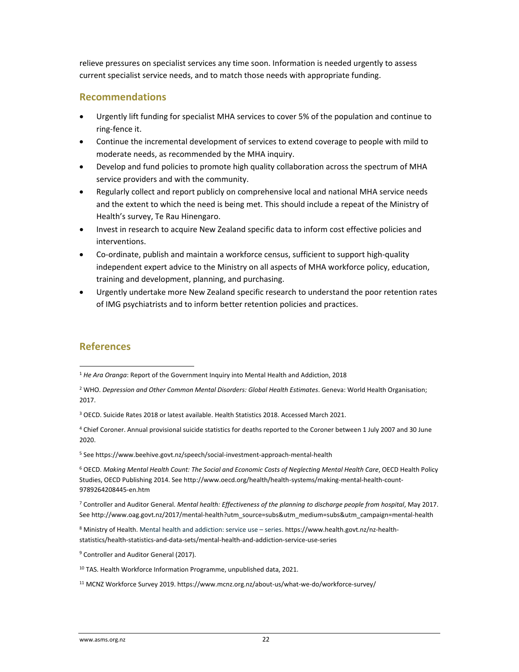relieve pressures on specialist services any time soon. Information is needed urgently to assess current specialist service needs, and to match those needs with appropriate funding.

## **Recommendations**

- Urgently lift funding for specialist MHA services to cover 5% of the population and continue to ring‐fence it.
- Continue the incremental development of services to extend coverage to people with mild to moderate needs, as recommended by the MHA inquiry.
- Develop and fund policies to promote high quality collaboration across the spectrum of MHA service providers and with the community.
- Regularly collect and report publicly on comprehensive local and national MHA service needs and the extent to which the need is being met. This should include a repeat of the Ministry of Health's survey, Te Rau Hinengaro.
- Invest in research to acquire New Zealand specific data to inform cost effective policies and interventions.
- Co-ordinate, publish and maintain a workforce census, sufficient to support high-quality independent expert advice to the Ministry on all aspects of MHA workforce policy, education, training and development, planning, and purchasing.
- Urgently undertake more New Zealand specific research to understand the poor retention rates of IMG psychiatrists and to inform better retention policies and practices.

## **References**

<sup>3</sup> OECD. Suicide Rates 2018 or latest available. Health Statistics 2018. Accessed March 2021.

<sup>4</sup> Chief Coroner. Annual provisional suicide statistics for deaths reported to the Coroner between 1 July 2007 and 30 June 2020.

<sup>5</sup> See https://www.beehive.govt.nz/speech/social‐investment‐approach‐mental‐health

<sup>6</sup> OECD. *Making Mental Health Count: The Social and Economic Costs of Neglecting Mental Health Care*, OECD Health Policy Studies, OECD Publishing 2014. See http://www.oecd.org/health/health‐systems/making‐mental‐health‐count‐ 9789264208445‐en.htm

<sup>7</sup> Controller and Auditor General. *Mental health: Effectiveness of the planning to discharge people from hospital*, May 2017. See http://www.oag.govt.nz/2017/mental‐health?utm\_source=subs&utm\_medium=subs&utm\_campaign=mental‐health

<sup>8</sup> Ministry of Health. Mental health and addiction: service use – series. https://www.health.govt.nz/nz‐health‐ statistics/health‐statistics‐and‐data‐sets/mental‐health‐and‐addiction‐service‐use‐series

<sup>9</sup> Controller and Auditor General (2017).

<sup>10</sup> TAS. Health Workforce Information Programme, unpublished data, 2021.

<sup>11</sup> MCNZ Workforce Survey 2019. https://www.mcnz.org.nz/about‐us/what‐we‐do/workforce‐survey/

<sup>1</sup> *He Ara Oranga*: Report of the Government Inquiry into Mental Health and Addiction, 2018

<sup>2</sup> WHO. *Depression and Other Common Mental Disorders: Global Health Estimates*. Geneva: World Health Organisation; 2017.